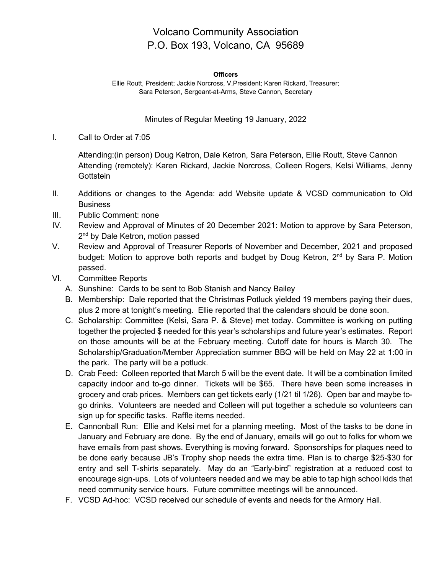## Volcano Community Association P.O. Box 193, Volcano, CA 95689

## **Officers**

Ellie Routt, President; Jackie Norcross, V.President; Karen Rickard, Treasurer; Sara Peterson, Sergeant-at-Arms, Steve Cannon, Secretary

## Minutes of Regular Meeting 19 January, 2022

I. Call to Order at 7:05

Attending:(in person) Doug Ketron, Dale Ketron, Sara Peterson, Ellie Routt, Steve Cannon Attending (remotely): Karen Rickard, Jackie Norcross, Colleen Rogers, Kelsi Williams, Jenny **Gottstein** 

- II. Additions or changes to the Agenda: add Website update & VCSD communication to Old **Business**
- III. Public Comment: none
- IV. Review and Approval of Minutes of 20 December 2021: Motion to approve by Sara Peterson, 2<sup>nd</sup> by Dale Ketron, motion passed
- V. Review and Approval of Treasurer Reports of November and December, 2021 and proposed budget: Motion to approve both reports and budget by Doug Ketron, 2<sup>nd</sup> by Sara P. Motion passed.
- VI. Committee Reports
	- A. Sunshine: Cards to be sent to Bob Stanish and Nancy Bailey
	- B. Membership: Dale reported that the Christmas Potluck yielded 19 members paying their dues, plus 2 more at tonight's meeting. Ellie reported that the calendars should be done soon.
	- C. Scholarship: Committee (Kelsi, Sara P. & Steve) met today. Committee is working on putting together the projected \$ needed for this year's scholarships and future year's estimates. Report on those amounts will be at the February meeting. Cutoff date for hours is March 30. The Scholarship/Graduation/Member Appreciation summer BBQ will be held on May 22 at 1:00 in the park. The party will be a potluck.
	- D. Crab Feed: Colleen reported that March 5 will be the event date. It will be a combination limited capacity indoor and to-go dinner. Tickets will be \$65. There have been some increases in grocery and crab prices. Members can get tickets early (1/21 til 1/26). Open bar and maybe togo drinks. Volunteers are needed and Colleen will put together a schedule so volunteers can sign up for specific tasks. Raffle items needed.
	- E. Cannonball Run: Ellie and Kelsi met for a planning meeting. Most of the tasks to be done in January and February are done. By the end of January, emails will go out to folks for whom we have emails from past shows. Everything is moving forward. Sponsorships for plaques need to be done early because JB's Trophy shop needs the extra time. Plan is to charge \$25-\$30 for entry and sell T-shirts separately. May do an "Early-bird" registration at a reduced cost to encourage sign-ups. Lots of volunteers needed and we may be able to tap high school kids that need community service hours. Future committee meetings will be announced.
	- F. VCSD Ad-hoc: VCSD received our schedule of events and needs for the Armory Hall.